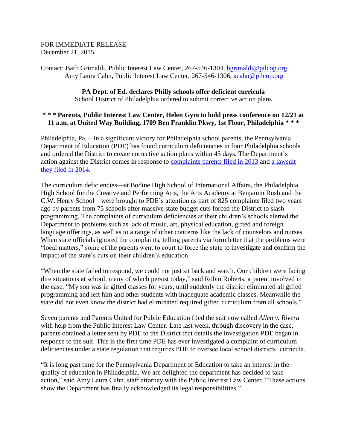## FOR IMMEDIATE RELEASE December 21, 2015

Contact: Barb Grimaldi, Public Interest Law Center, 267-546-1304, [bgrimaldi@pilcop.org](mailto:bgrimaldi@pilcop.org) Amy Laura Cahn, Public Interest Law Center, 267-546-1306, [acahn@pilcop.org](mailto:acahn@pilcop.org)

## **PA Dept. of Ed. declares Philly schools offer deficient curricula** School District of Philadelphia ordered to submit corrective action plans

## **\* \* \* Parents, Public Interest Law Center, Helen Gym to hold press conference on 12/21 at 11 a.m. at United Way Building, 1709 Ben Franklin Pkwy, 1st Floor, Philadelphia \* \* \***

Philadelphia, Pa. – In a significant victory for Philadelphia school parents, the Pennsylvania Department of Education (PDE) has found curriculum deficiencies in four Philadelphia schools and ordered the District to create corrective action plans within 45 days. The Department's action against the District comes in response to [complaints parents filed in 2013](http://www.pilcop.org/makethecall/) and [a lawsuit](http://www.pilcop.org/philly-complaints-litigation/)  [they filed in 2014.](http://www.pilcop.org/philly-complaints-litigation/)

The curriculum deficiencies—at Bodine High School of International Affairs, the Philadelphia High School for the Creative and Performing Arts, the Arts Academy at Benjamin Rush and the C.W. Henry School—were brought to PDE's attention as part of 825 complaints filed two years ago by parents from 75 schools after massive state budget cuts forced the District to slash programming. The complaints of curriculum deficiencies at their children's schools alerted the Department to problems such as lack of music, art, physical education, gifted and foreign language offerings, as well as to a range of other concerns like the lack of counselors and nurses. When state officials ignored the complaints, telling parents via form letter that the problems were "local matters," some of the parents went to court to force the state to investigate and confirm the impact of the state's cuts on their children's education.

"When the state failed to respond, we could not just sit back and watch. Our children were facing dire situations at school, many of which persist today," said Robin Roberts, a parent involved in the case. "My son was in gifted classes for years, until suddenly the district eliminated all gifted programming and left him and other students with inadequate academic classes. Meanwhile the state did not even know the district had eliminated required gifted curriculum from all schools."

Seven parents and Parents United for Public Education filed the suit now called *Allen v. Rivera* with help from the Public Interest Law Center. Late last week, through discovery in the case, parents obtained a letter sent by PDE to the District that details the investigation PDE began in response to the suit. This is the first time PDE has ever investigated a complaint of curriculum deficiencies under a state regulation that requires PDE to oversee local school districts' curricula.

"It is long past time for the Pennsylvania Department of Education to take an interest in the quality of education in Philadelphia. We are delighted the department has decided to take action," said Amy Laura Cahn, staff attorney with the Public Interest Law Center. "These actions show the Department has finally acknowledged its legal responsibilities."